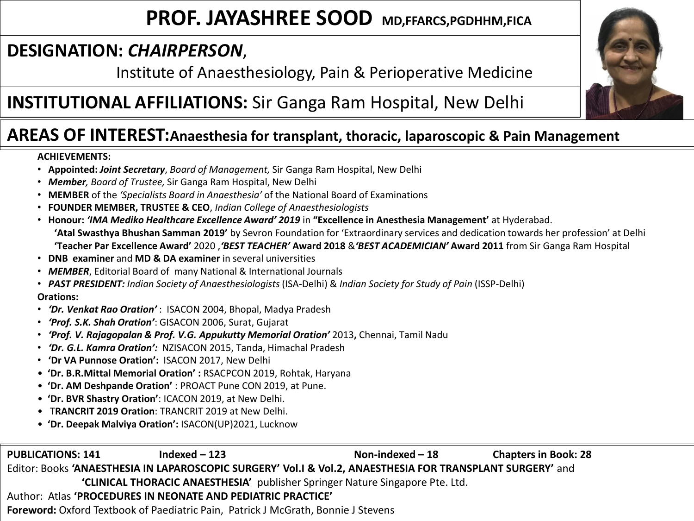# **PROF. JAYASHREE SOOD MD,FFARCS,PGDHHM,FICA**

## **DESIGNATION:** *CHAIRPERSON*,

Institute of Anaesthesiology, Pain & Perioperative Medicine

# **INSTITUTIONAL AFFILIATIONS:** Sir Ganga Ram Hospital, New Delhi



### **AREAS OF INTEREST:Anaesthesia for transplant, thoracic, laparoscopic & Pain Management**

### **ACHIEVEMENTS:**

- **Appointed:** *Joint Secretary*, *Board of Management,* Sir Ganga Ram Hospital, New Delhi
- *Member, Board of Trustee,* Sir Ganga Ram Hospital, New Delhi
- **MEMBER** of the *'Specialists Board in Anaesthesia'* of the National Board of Examinations
- **FOUNDER MEMBER, TRUSTEE & CEO**, *Indian College of Anaesthesiologists*
- **Honour:** *'IMA Mediko Healthcare Excellence Award' 2019* in **"Excellence in Anesthesia Management'** at Hyderabad. **'Atal Swasthya Bhushan Samman 2019'** by Sevron Foundation for 'Extraordinary services and dedication towards her profession' at Delhi **'Teacher Par Excellence Award'** 2020 ,*'BEST TEACHER'* **Award 2018** &*'BEST ACADEMICIAN'* **Award 2011** from Sir Ganga Ram Hospital
- **DNB examiner** and **MD & DA examiner** in several universities
- *MEMBER*, Editorial Board of many National & International Journals
- *PAST PRESIDENT: Indian Society of Anaesthesiologists* (ISA-Delhi) & *Indian Society for Study of Pain* (ISSP-Delhi)

#### **Orations:**

- *'Dr. Venkat Rao Oration'* : ISACON 2004, Bhopal, Madya Pradesh
- *'Prof. S.K. Shah Oration'*: GISACON 2006, Surat, Gujarat
- *'Prof. V. Rajagopalan & Prof. V.G. Appukutty Memorial Oration'* 2013**,** Chennai, Tamil Nadu
- *'Dr. G.L. Kamra Oration':* NZISACON 2015, Tanda, Himachal Pradesh
- **'Dr VA Punnose Oration':** ISACON 2017, New Delhi
- **'Dr. B.R.Mittal Memorial Oration' :** RSACPCON 2019, Rohtak, Haryana
- **'Dr. AM Deshpande Oration'** : PROACT Pune CON 2019, at Pune.
- **'Dr. BVR Shastry Oration'**: ICACON 2019, at New Delhi.
- T**RANCRIT 2019 Oration**: TRANCRIT 2019 at New Delhi.
- **'Dr. Deepak Malviya Oration':** ISACON(UP)2021, Lucknow

**PUBLICATIONS: 141 Indexed – 123 Non-indexed – 18 Chapters in Book: 28** Editor: Books **'ANAESTHESIA IN LAPAROSCOPIC SURGERY' Vol.I & Vol.2, ANAESTHESIA FOR TRANSPLANT SURGERY'** and **'CLINICAL THORACIC ANAESTHESIA'** publisher Springer Nature Singapore Pte. Ltd. Author: Atlas **'PROCEDURES IN NEONATE AND PEDIATRIC PRACTICE' Foreword:** Oxford Textbook of Paediatric Pain, Patrick J McGrath, Bonnie J Stevens